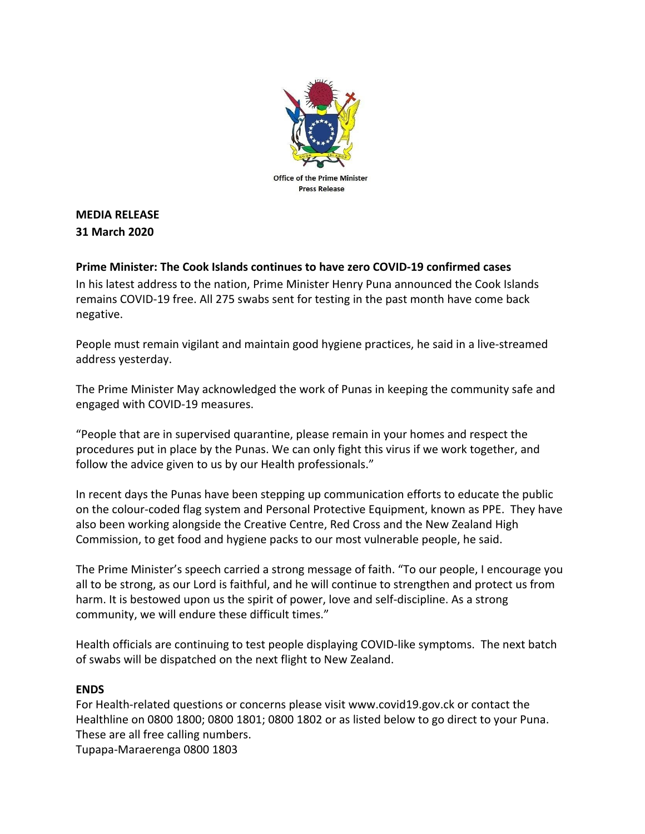

## **MEDIA RELEASE 31 March 2020**

## **Prime Minister: The Cook Islands continues to have zero COVID-19 confirmed cases**

In his latest address to the nation, Prime Minister Henry Puna announced the Cook Islands remains COVID-19 free. All 275 swabs sent for testing in the past month have come back negative.

People must remain vigilant and maintain good hygiene practices, he said in a live-streamed address yesterday.

The Prime Minister May acknowledged the work of Punas in keeping the community safe and engaged with COVID-19 measures.

"People that are in supervised quarantine, please remain in your homes and respect the procedures put in place by the Punas. We can only fight this virus if we work together, and follow the advice given to us by our Health professionals."

In recent days the Punas have been stepping up communication efforts to educate the public on the colour-coded flag system and Personal Protective Equipment, known as PPE. They have also been working alongside the Creative Centre, Red Cross and the New Zealand High Commission, to get food and hygiene packs to our most vulnerable people, he said.

The Prime Minister's speech carried a strong message of faith. "To our people, I encourage you all to be strong, as our Lord is faithful, and he will continue to strengthen and protect us from harm. It is bestowed upon us the spirit of power, love and self-discipline. As a strong community, we will endure these difficult times."

Health officials are continuing to test people displaying COVID-like symptoms. The next batch of swabs will be dispatched on the next flight to New Zealand.

## **ENDS**

For Health-related questions or concerns please visit www.covid19.gov.ck or contact the Healthline on 0800 1800; 0800 1801; 0800 1802 or as listed below to go direct to your Puna. These are all free calling numbers.

Tupapa-Maraerenga 0800 1803